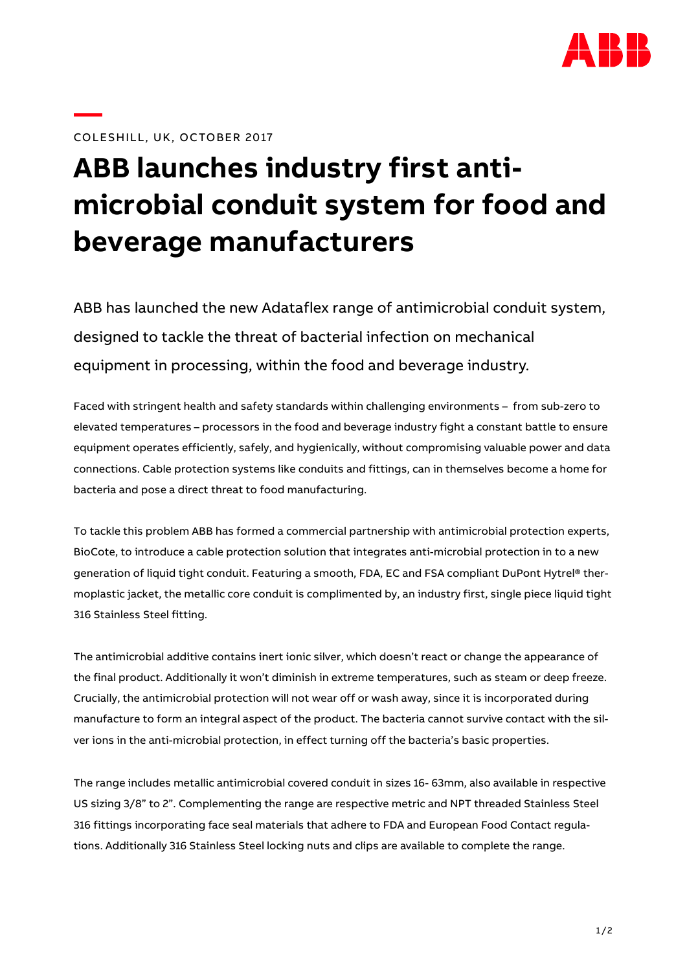

## COLESHILL, UK, OCTOBER 2017

## **ABB launches industry first antimicrobial conduit system for food and beverage manufacturers**

ABB has launched the new Adataflex range of antimicrobial conduit system, designed to tackle the threat of bacterial infection on mechanical equipment in processing, within the food and beverage industry.

Faced with stringent health and safety standards within challenging environments – from sub-zero to elevated temperatures – processors in the food and beverage industry fight a constant battle to ensure equipment operates efficiently, safely, and hygienically, without compromising valuable power and data connections. Cable protection systems like conduits and fittings, can in themselves become a home for bacteria and pose a direct threat to food manufacturing.

To tackle this problem ABB has formed a commercial partnership with antimicrobial protection experts, BioCote, to introduce a cable protection solution that integrates anti-microbial protection in to a new generation of liquid tight conduit. Featuring a smooth, FDA, EC and FSA compliant DuPont Hytrel® thermoplastic jacket, the metallic core conduit is complimented by, an industry first, single piece liquid tight 316 Stainless Steel fitting.

The antimicrobial additive contains inert ionic silver, which doesn't react or change the appearance of the final product. Additionally it won't diminish in extreme temperatures, such as steam or deep freeze. Crucially, the antimicrobial protection will not wear off or wash away, since it is incorporated during manufacture to form an integral aspect of the product. The bacteria cannot survive contact with the silver ions in the anti-microbial protection, in effect turning off the bacteria's basic properties.

The range includes metallic antimicrobial covered conduit in sizes 16- 63mm, also available in respective US sizing 3/8" to 2". Complementing the range are respective metric and NPT threaded Stainless Steel 316 fittings incorporating face seal materials that adhere to FDA and European Food Contact regulations. Additionally 316 Stainless Steel locking nuts and clips are available to complete the range.